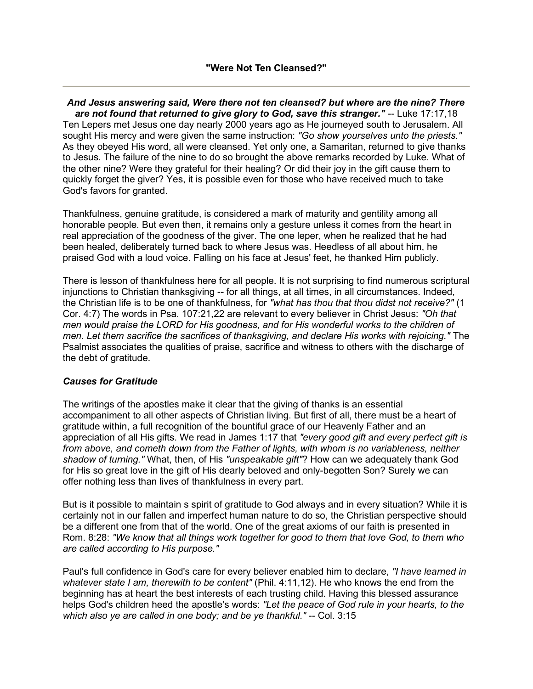And Jesus answering said, Were there not ten cleansed? but where are the nine? There are not found that returned to give glory to God, save this stranger." -- Luke 17:17,18 Ten Lepers met Jesus one day nearly 2000 years ago as He journeyed south to Jerusalem. All sought His mercy and were given the same instruction: "Go show yourselves unto the priests." As they obeyed His word, all were cleansed. Yet only one, a Samaritan, returned to give thanks to Jesus. The failure of the nine to do so brought the above remarks recorded by Luke. What of the other nine? Were they grateful for their healing? Or did their joy in the gift cause them to quickly forget the giver? Yes, it is possible even for those who have received much to take God's favors for granted.

Thankfulness, genuine gratitude, is considered a mark of maturity and gentility among all honorable people. But even then, it remains only a gesture unless it comes from the heart in real appreciation of the goodness of the giver. The one leper, when he realized that he had been healed, deliberately turned back to where Jesus was. Heedless of all about him, he praised God with a loud voice. Falling on his face at Jesus' feet, he thanked Him publicly.

There is lesson of thankfulness here for all people. It is not surprising to find numerous scriptural injunctions to Christian thanksgiving -- for all things, at all times, in all circumstances. Indeed, the Christian life is to be one of thankfulness, for "what has thou that thou didst not receive?" (1 Cor. 4:7) The words in Psa. 107:21,22 are relevant to every believer in Christ Jesus: "Oh that men would praise the LORD for His goodness, and for His wonderful works to the children of men. Let them sacrifice the sacrifices of thanksgiving, and declare His works with rejoicing." The Psalmist associates the qualities of praise, sacrifice and witness to others with the discharge of the debt of gratitude.

## Causes for Gratitude

The writings of the apostles make it clear that the giving of thanks is an essential accompaniment to all other aspects of Christian living. But first of all, there must be a heart of gratitude within, a full recognition of the bountiful grace of our Heavenly Father and an appreciation of all His gifts. We read in James 1:17 that "every good gift and every perfect gift is from above, and cometh down from the Father of lights, with whom is no variableness, neither shadow of turning." What, then, of His "unspeakable gift"? How can we adequately thank God for His so great love in the gift of His dearly beloved and only-begotten Son? Surely we can offer nothing less than lives of thankfulness in every part.

But is it possible to maintain s spirit of gratitude to God always and in every situation? While it is certainly not in our fallen and imperfect human nature to do so, the Christian perspective should be a different one from that of the world. One of the great axioms of our faith is presented in Rom. 8:28: "We know that all things work together for good to them that love God, to them who are called according to His purpose."

Paul's full confidence in God's care for every believer enabled him to declare, "*I have learned in* whatever state I am, therewith to be content" (Phil. 4:11,12). He who knows the end from the beginning has at heart the best interests of each trusting child. Having this blessed assurance helps God's children heed the apostle's words: "Let the peace of God rule in your hearts, to the which also ye are called in one body; and be ye thankful." -- Col. 3:15